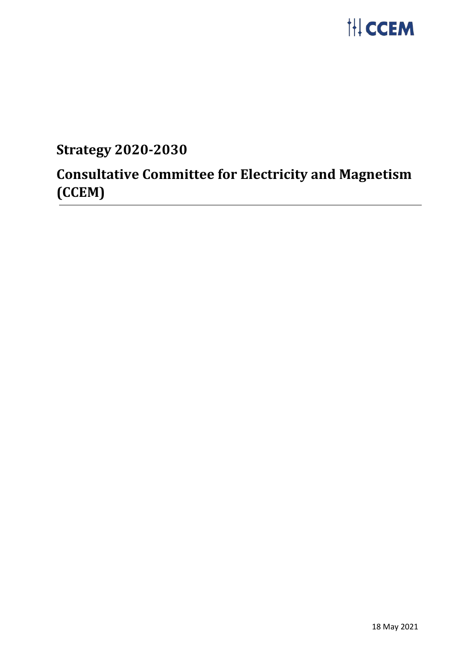

# **Strategy 2020-2030**

# **Consultative Committee for Electricity and Magnetism (CCEM)**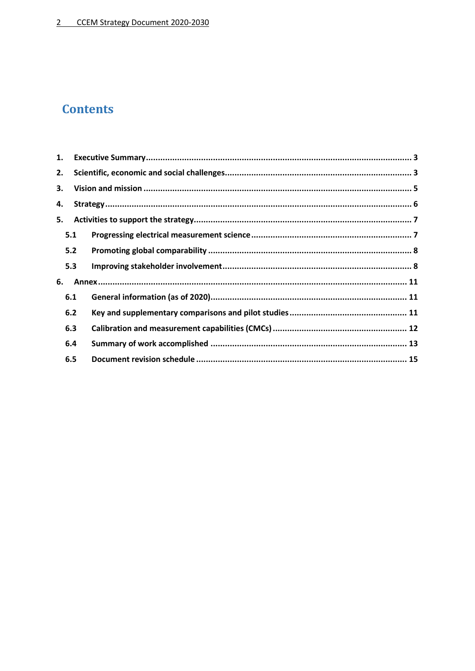# **Contents**

| 1. |     |  |  |  |  |
|----|-----|--|--|--|--|
| 2. |     |  |  |  |  |
| 3. |     |  |  |  |  |
| 4. |     |  |  |  |  |
| 5. |     |  |  |  |  |
|    | 5.1 |  |  |  |  |
|    | 5.2 |  |  |  |  |
|    | 5.3 |  |  |  |  |
| 6. |     |  |  |  |  |
|    | 6.1 |  |  |  |  |
|    | 6.2 |  |  |  |  |
|    | 6.3 |  |  |  |  |
|    | 6.4 |  |  |  |  |
|    | 6.5 |  |  |  |  |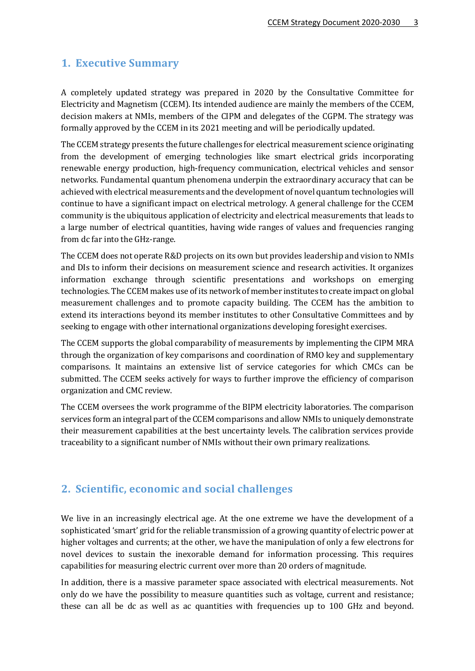# <span id="page-2-0"></span>**1. Executive Summary**

A completely updated strategy was prepared in 2020 by the Consultative Committee for Electricity and Magnetism (CCEM). Its intended audience are mainly the members of the CCEM, decision makers at NMIs, members of the CIPM and delegates of the CGPM. The strategy was formally approved by the CCEM in its 2021 meeting and will be periodically updated.

The CCEM strategy presents the future challenges for electrical measurement science originating from the development of emerging technologies like smart electrical grids incorporating renewable energy production, high-frequency communication, electrical vehicles and sensor networks. Fundamental quantum phenomena underpin the extraordinary accuracy that can be achieved with electrical measurements and the development of novel quantum technologies will continue to have a significant impact on electrical metrology. A general challenge for the CCEM community is the ubiquitous application of electricity and electrical measurements that leads to a large number of electrical quantities, having wide ranges of values and frequencies ranging from dc far into the GHz-range.

The CCEM does not operate R&D projects on its own but provides leadership and vision to NMIs and DIs to inform their decisions on measurement science and research activities. It organizes information exchange through scientific presentations and workshops on emerging technologies. The CCEM makes use of its network of member institutes to create impact on global measurement challenges and to promote capacity building. The CCEM has the ambition to extend its interactions beyond its member institutes to other Consultative Committees and by seeking to engage with other international organizations developing foresight exercises.

The CCEM supports the global comparability of measurements by implementing the CIPM MRA through the organization of key comparisons and coordination of RMO key and supplementary comparisons. It maintains an extensive list of service categories for which CMCs can be submitted. The CCEM seeks actively for ways to further improve the efficiency of comparison organization and CMC review.

The CCEM oversees the work programme of the BIPM electricity laboratories. The comparison services form an integral part of the CCEM comparisons and allow NMIs to uniquely demonstrate their measurement capabilities at the best uncertainty levels. The calibration services provide traceability to a significant number of NMIs without their own primary realizations.

# <span id="page-2-1"></span>**2. Scientific, economic and social challenges**

We live in an increasingly electrical age. At the one extreme we have the development of a sophisticated 'smart' grid for the reliable transmission of a growing quantity of electric power at higher voltages and currents; at the other, we have the manipulation of only a few electrons for novel devices to sustain the inexorable demand for information processing. This requires capabilities for measuring electric current over more than 20 orders of magnitude.

In addition, there is a massive parameter space associated with electrical measurements. Not only do we have the possibility to measure quantities such as voltage, current and resistance; these can all be dc as well as ac quantities with frequencies up to 100 GHz and beyond.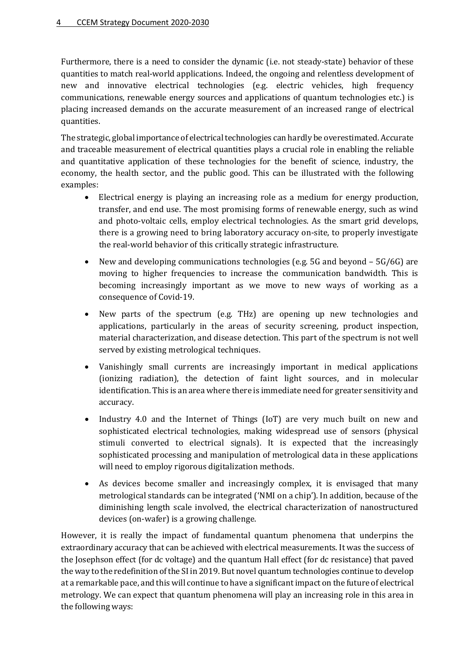Furthermore, there is a need to consider the dynamic (i.e. not steady-state) behavior of these quantities to match real-world applications. Indeed, the ongoing and relentless development of new and innovative electrical technologies (e.g. electric vehicles, high frequency communications, renewable energy sources and applications of quantum technologies etc.) is placing increased demands on the accurate measurement of an increased range of electrical quantities.

The strategic, global importance of electrical technologies can hardly be overestimated. Accurate and traceable measurement of electrical quantities plays a crucial role in enabling the reliable and quantitative application of these technologies for the benefit of science, industry, the economy, the health sector, and the public good. This can be illustrated with the following examples:

- Electrical energy is playing an increasing role as a medium for energy production, transfer, and end use. The most promising forms of renewable energy, such as wind and photo-voltaic cells, employ electrical technologies. As the smart grid develops, there is a growing need to bring laboratory accuracy on-site, to properly investigate the real-world behavior of this critically strategic infrastructure.
- New and developing communications technologies (e.g. 5G and beyond 5G/6G) are moving to higher frequencies to increase the communication bandwidth. This is becoming increasingly important as we move to new ways of working as a consequence of Covid-19.
- New parts of the spectrum (e.g. THz) are opening up new technologies and applications, particularly in the areas of security screening, product inspection, material characterization, and disease detection. This part of the spectrum is not well served by existing metrological techniques.
- Vanishingly small currents are increasingly important in medical applications (ionizing radiation), the detection of faint light sources, and in molecular identification. This is an area where there is immediate need for greater sensitivity and accuracy.
- Industry 4.0 and the Internet of Things (IoT) are very much built on new and sophisticated electrical technologies, making widespread use of sensors (physical stimuli converted to electrical signals). It is expected that the increasingly sophisticated processing and manipulation of metrological data in these applications will need to employ rigorous digitalization methods.
- As devices become smaller and increasingly complex, it is envisaged that many metrological standards can be integrated ('NMI on a chip'). In addition, because of the diminishing length scale involved, the electrical characterization of nanostructured devices (on-wafer) is a growing challenge.

However, it is really the impact of fundamental quantum phenomena that underpins the extraordinary accuracy that can be achieved with electrical measurements. It was the success of the Josephson effect (for dc voltage) and the quantum Hall effect (for dc resistance) that paved the way to the redefinition of the SI in 2019. But novel quantum technologies continue to develop at a remarkable pace, and this will continue to have a significant impact on the future of electrical metrology. We can expect that quantum phenomena will play an increasing role in this area in the following ways: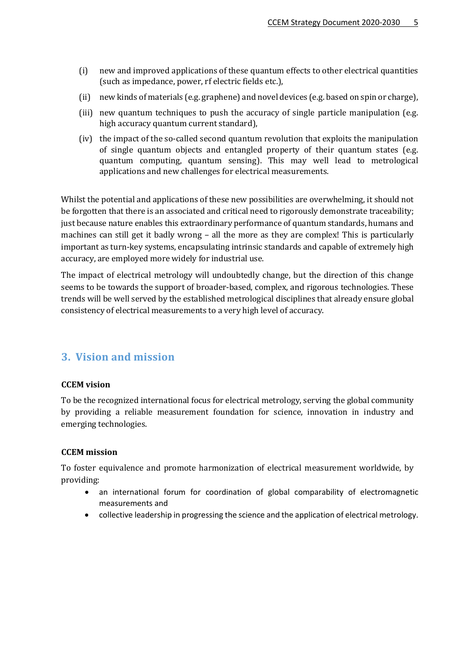- (i) new and improved applications of these quantum effects to other electrical quantities (such as impedance, power, rf electric fields etc.),
- (ii) new kinds of materials (e.g. graphene) and novel devices (e.g. based on spin or charge),
- (iii) new quantum techniques to push the accuracy of single particle manipulation (e.g. high accuracy quantum current standard),
- (iv) the impact of the so-called second quantum revolution that exploits the manipulation of single quantum objects and entangled property of their quantum states (e.g. quantum computing, quantum sensing). This may well lead to metrological applications and new challenges for electrical measurements.

Whilst the potential and applications of these new possibilities are overwhelming, it should not be forgotten that there is an associated and critical need to rigorously demonstrate traceability; just because nature enables this extraordinary performance of quantum standards, humans and machines can still get it badly wrong – all the more as they are complex! This is particularly important as turn-key systems, encapsulating intrinsic standards and capable of extremely high accuracy, are employed more widely for industrial use.

The impact of electrical metrology will undoubtedly change, but the direction of this change seems to be towards the support of broader-based, complex, and rigorous technologies. These trends will be well served by the established metrological disciplines that already ensure global consistency of electrical measurements to a very high level of accuracy.

# <span id="page-4-0"></span>**3. Vision and mission**

#### **CCEM vision**

To be the recognized international focus for electrical metrology, serving the global community by providing a reliable measurement foundation for science, innovation in industry and emerging technologies.

#### **CCEM mission**

To foster equivalence and promote harmonization of electrical measurement worldwide, by providing:

- an international forum for coordination of global comparability of electromagnetic measurements and
- collective leadership in progressing the science and the application of electrical metrology.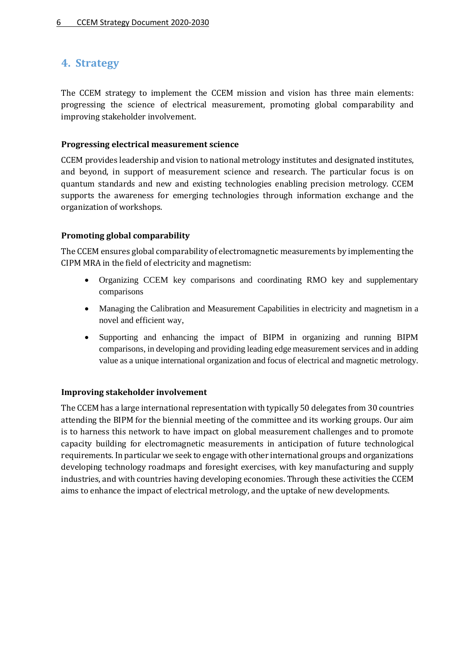# <span id="page-5-0"></span>**4. Strategy**

The CCEM strategy to implement the CCEM mission and vision has three main elements: progressing the science of electrical measurement, promoting global comparability and improving stakeholder involvement.

#### **Progressing electrical measurement science**

CCEM provides leadership and vision to national metrology institutes and designated institutes, and beyond, in support of measurement science and research. The particular focus is on quantum standards and new and existing technologies enabling precision metrology. CCEM supports the awareness for emerging technologies through information exchange and the organization of workshops.

#### **Promoting global comparability**

The CCEM ensures global comparability of electromagnetic measurements by implementing the CIPM MRA in the field of electricity and magnetism:

- Organizing CCEM key comparisons and coordinating RMO key and supplementary comparisons
- Managing the Calibration and Measurement Capabilities in electricity and magnetism in a novel and efficient way,
- Supporting and enhancing the impact of BIPM in organizing and running BIPM comparisons, in developing and providing leading edge measurement services and in adding value as a unique international organization and focus of electrical and magnetic metrology.

#### **Improving stakeholder involvement**

The CCEM has a large international representation with typically 50 delegates from 30 countries attending the BIPM for the biennial meeting of the committee and its working groups. Our aim is to harness this network to have impact on global measurement challenges and to promote capacity building for electromagnetic measurements in anticipation of future technological requirements. In particular we seek to engage with other international groups and organizations developing technology roadmaps and foresight exercises, with key manufacturing and supply industries, and with countries having developing economies. Through these activities the CCEM aims to enhance the impact of electrical metrology, and the uptake of new developments.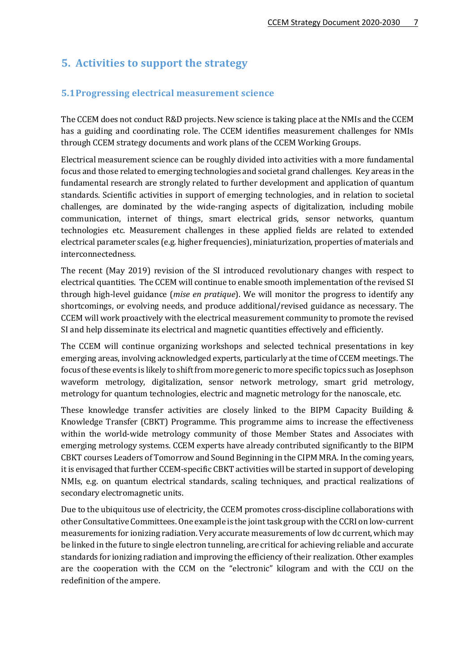# <span id="page-6-0"></span>**5. Activities to support the strategy**

#### <span id="page-6-1"></span>**5.1Progressing electrical measurement science**

The CCEM does not conduct R&D projects. New science is taking place at the NMIs and the CCEM has a guiding and coordinating role. The CCEM identifies measurement challenges for NMIs through CCEM strategy documents and work plans of the CCEM Working Groups.

Electrical measurement science can be roughly divided into activities with a more fundamental focus and those related to emerging technologies and societal grand challenges. Key areas in the fundamental research are strongly related to further development and application of quantum standards. Scientific activities in support of emerging technologies, and in relation to societal challenges, are dominated by the wide-ranging aspects of digitalization, including mobile communication, internet of things, smart electrical grids, sensor networks, quantum technologies etc. Measurement challenges in these applied fields are related to extended electrical parameter scales (e.g. higher frequencies), miniaturization, properties of materials and interconnectedness.

The recent (May 2019) revision of the SI introduced revolutionary changes with respect to electrical quantities. The CCEM will continue to enable smooth implementation of the revised SI through high-level guidance (*mise en pratique*). We will monitor the progress to identify any shortcomings, or evolving needs, and produce additional/revised guidance as necessary. The CCEM will work proactively with the electrical measurement community to promote the revised SI and help disseminate its electrical and magnetic quantities effectively and efficiently.

The CCEM will continue organizing workshops and selected technical presentations in key emerging areas, involving acknowledged experts, particularly at the time of CCEM meetings. The focus of these events is likely to shift from more generic to more specific topics such as Josephson waveform metrology, digitalization, sensor network metrology, smart grid metrology, metrology for quantum technologies, electric and magnetic metrology for the nanoscale, etc.

These knowledge transfer activities are closely linked to the [BIPM Capacity Building &](https://www.bipm.org/en/cbkt/)  [Knowledge Transfer](https://www.bipm.org/en/cbkt/) (CBKT) Programme. This programme aims to increase the effectiveness within the world-wide metrology community of those Member States and Associates with emerging metrology systems. CCEM experts have already contributed significantly to the BIPM CBKT courses Leaders of Tomorrow and Sound Beginning in the CIPM MRA. In the coming years, it is envisaged that further CCEM-specific CBKT activities will be started in support of developing NMIs, e.g. on quantum electrical standards, scaling techniques, and practical realizations of secondary electromagnetic units.

Due to the ubiquitous use of electricity, the CCEM promotes cross-discipline collaborations with other Consultative Committees. One example is the joint task group with the CCRI on low-current measurements for ionizing radiation. Very accurate measurements of low dc current, which may be linked in the future to single electron tunneling, are critical for achieving reliable and accurate standards for ionizing radiation and improving the efficiency of their realization. Other examples are the cooperation with the CCM on the "electronic" kilogram and with the CCU on the redefinition of the ampere.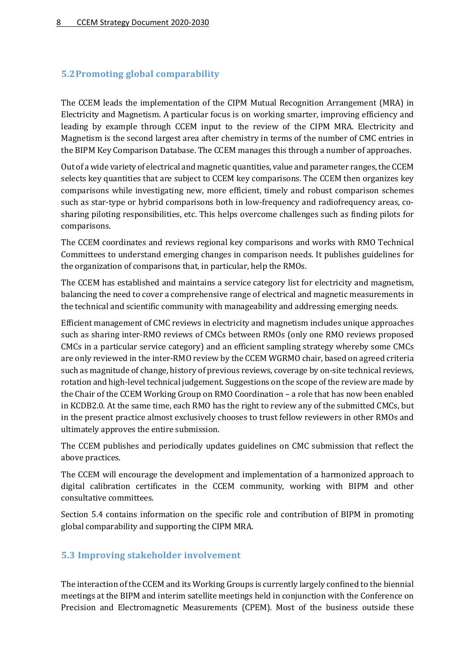#### <span id="page-7-0"></span>**5.2Promoting global comparability**

The CCEM leads the implementation of the CIPM Mutual Recognition Arrangement (MRA) in Electricity and Magnetism. A particular focus is on working smarter, improving efficiency and leading by example through CCEM input to the review of the CIPM MRA. Electricity and Magnetism is the second largest area after chemistry in terms of the number of CMC entries in the BIPM Key Comparison Database. The CCEM manages this through a number of approaches.

Out of a wide variety of electrical and magnetic quantities, value and parameter ranges, the CCEM selects key quantities that are subject to CCEM key comparisons. The CCEM then organizes key comparisons while investigating new, more efficient, timely and robust comparison schemes such as star-type or hybrid comparisons both in low-frequency and radiofrequency areas, cosharing piloting responsibilities, etc. This helps overcome challenges such as finding pilots for comparisons.

The CCEM coordinates and reviews regional key comparisons and works with RMO Technical Committees to understand emerging changes in comparison needs. It publishes guidelines for the organization of comparisons that, in particular, help the RMOs.

The CCEM has established and maintains a service category list for electricity and magnetism, balancing the need to cover a comprehensive range of electrical and magnetic measurements in the technical and scientific community with manageability and addressing emerging needs.

Efficient management of CMC reviews in electricity and magnetism includes unique approaches such as sharing inter-RMO reviews of CMCs between RMOs (only one RMO reviews proposed CMCs in a particular service category) and an efficient sampling strategy whereby some CMCs are only reviewed in the inter-RMO review by the CCEM WGRMO chair, based on agreed criteria such as magnitude of change, history of previous reviews, coverage by on-site technical reviews, rotation and high-level technical judgement. Suggestions on the scope of the review are made by the Chair of the CCEM Working Group on RMO Coordination – a role that has now been enabled in KCDB2.0. At the same time, each RMO has the right to review any of the submitted CMCs, but in the present practice almost exclusively chooses to trust fellow reviewers in other RMOs and ultimately approves the entire submission.

The CCEM publishes and periodically updates guidelines on CMC submission that reflect the above practices.

The CCEM will encourage the development and implementation of a harmonized approach to digital calibration certificates in the CCEM community, working with BIPM and other consultative committees.

Section 5.4 contains information on the specific role and contribution of BIPM in promoting global comparability and supporting the CIPM MRA.

#### <span id="page-7-1"></span>**5.3 Improving stakeholder involvement**

The interaction of the CCEM and its Working Groups is currently largely confined to the biennial meetings at the BIPM and interim satellite meetings held in conjunction with the Conference on Precision and Electromagnetic Measurements (CPEM). Most of the business outside these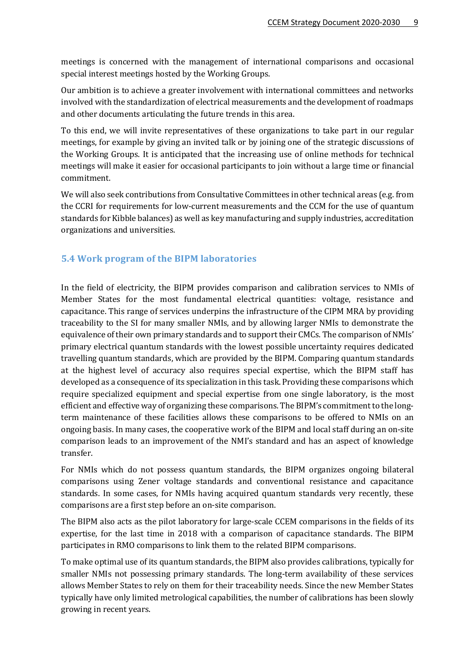meetings is concerned with the management of international comparisons and occasional special interest meetings hosted by the Working Groups.

Our ambition is to achieve a greater involvement with international committees and networks involved with the standardization of electrical measurements and the development of roadmaps and other documents articulating the future trends in this area.

To this end, we will invite representatives of these organizations to take part in our regular meetings, for example by giving an invited talk or by joining one of the strategic discussions of the Working Groups. It is anticipated that the increasing use of online methods for technical meetings will make it easier for occasional participants to join without a large time or financial commitment.

We will also seek contributions from Consultative Committees in other technical areas (e.g. from the CCRI for requirements for low-current measurements and the CCM for the use of quantum standards for Kibble balances) as well as key manufacturing and supply industries, accreditation organizations and universities.

#### **5.4 Work program of the BIPM laboratories**

In the field of electricity, the BIPM provides comparison and calibration services to NMIs of Member States for the most fundamental electrical quantities: voltage, resistance and capacitance. This range of services underpins the infrastructure of the CIPM MRA by providing traceability to the SI for many smaller NMIs, and by allowing larger NMIs to demonstrate the equivalence of their own primary standards and to support their CMCs. The comparison of NMIs' primary electrical quantum standards with the lowest possible uncertainty requires dedicated travelling quantum standards, which are provided by the BIPM. Comparing quantum standards at the highest level of accuracy also requires special expertise, which the BIPM staff has developed as a consequence of its specialization in this task. Providing these comparisons which require specialized equipment and special expertise from one single laboratory, is the most efficient and effective way of organizing these comparisons. The BIPM's commitment to the longterm maintenance of these facilities allows these comparisons to be offered to NMIs on an ongoing basis. In many cases, the cooperative work of the BIPM and local staff during an on-site comparison leads to an improvement of the NMI's standard and has an aspect of knowledge transfer.

For NMIs which do not possess quantum standards, the BIPM organizes ongoing bilateral comparisons using Zener voltage standards and conventional resistance and capacitance standards. In some cases, for NMIs having acquired quantum standards very recently, these comparisons are a first step before an on-site comparison.

The BIPM also acts as the pilot laboratory for large-scale CCEM comparisons in the fields of its expertise, for the last time in 2018 with a comparison of capacitance standards. The BIPM participates in RMO comparisons to link them to the related BIPM comparisons.

To make optimal use of its quantum standards, the BIPM also provides calibrations, typically for smaller NMIs not possessing primary standards. The long-term availability of these services allows Member States to rely on them for their traceability needs. Since the new Member States typically have only limited metrological capabilities, the number of calibrations has been slowly growing in recent years.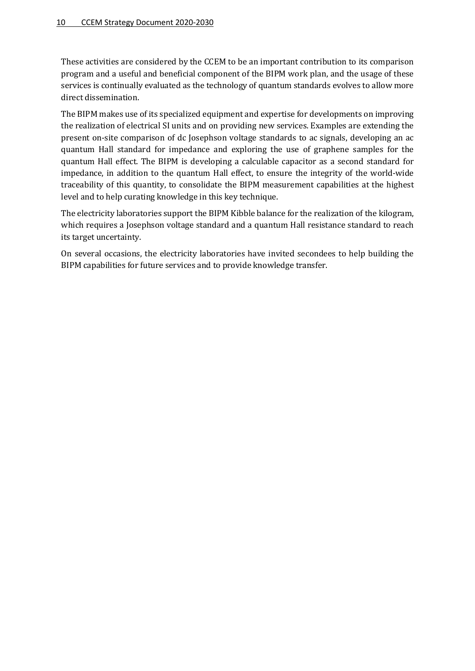These activities are considered by the CCEM to be an important contribution to its comparison program and a useful and beneficial component of the BIPM work plan, and the usage of these services is continually evaluated as the technology of quantum standards evolves to allow more direct dissemination.

The BIPM makes use of its specialized equipment and expertise for developments on improving the realization of electrical SI units and on providing new services. Examples are extending the present on-site comparison of dc Josephson voltage standards to ac signals, developing an ac quantum Hall standard for impedance and exploring the use of graphene samples for the quantum Hall effect. The BIPM is developing a calculable capacitor as a second standard for impedance, in addition to the quantum Hall effect, to ensure the integrity of the world-wide traceability of this quantity, to consolidate the BIPM measurement capabilities at the highest level and to help curating knowledge in this key technique.

The electricity laboratories support the BIPM Kibble balance for the realization of the kilogram, which requires a Josephson voltage standard and a quantum Hall resistance standard to reach its target uncertainty.

On several occasions, the electricity laboratories have invited secondees to help building the BIPM capabilities for future services and to provide knowledge transfer.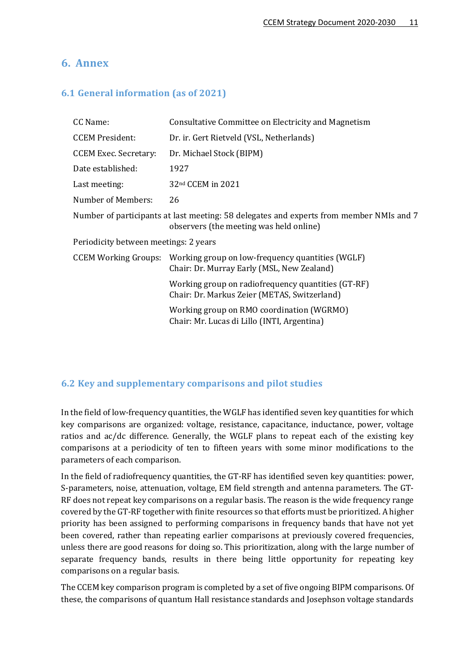# <span id="page-10-0"></span>**6. Annex**

### <span id="page-10-1"></span>**6.1 General information (as of 2021)**

| CC Name:                              | Consultative Committee on Electricity and Magnetism                                                                                |  |  |  |  |  |  |
|---------------------------------------|------------------------------------------------------------------------------------------------------------------------------------|--|--|--|--|--|--|
| <b>CCEM President:</b>                | Dr. ir. Gert Rietveld (VSL, Netherlands)                                                                                           |  |  |  |  |  |  |
| <b>CCEM Exec. Secretary:</b>          | Dr. Michael Stock (BIPM)                                                                                                           |  |  |  |  |  |  |
| Date established:                     | 1927                                                                                                                               |  |  |  |  |  |  |
| Last meeting:                         | 32nd CCEM in 2021                                                                                                                  |  |  |  |  |  |  |
| Number of Members:                    | 26                                                                                                                                 |  |  |  |  |  |  |
|                                       | Number of participants at last meeting: 58 delegates and experts from member NMIs and 7<br>observers (the meeting was held online) |  |  |  |  |  |  |
| Periodicity between meetings: 2 years |                                                                                                                                    |  |  |  |  |  |  |
|                                       | CCEM Working Groups: Working group on low-frequency quantities (WGLF)<br>Chair: Dr. Murray Early (MSL, New Zealand)                |  |  |  |  |  |  |
|                                       | Working group on radiofrequency quantities (GT-RF)<br>Chair: Dr. Markus Zeier (METAS, Switzerland)                                 |  |  |  |  |  |  |
|                                       | Working group on RMO coordination (WGRMO)<br>Chair: Mr. Lucas di Lillo (INTI, Argentina)                                           |  |  |  |  |  |  |

#### <span id="page-10-2"></span>**6.2 Key and supplementary comparisons and pilot studies**

In the field of low-frequency quantities, the WGLF has identified seven key quantities for which key comparisons are organized: voltage, resistance, capacitance, inductance, power, voltage ratios and ac/dc difference. Generally, the WGLF plans to repeat each of the existing key comparisons at a periodicity of ten to fifteen years with some minor modifications to the parameters of each comparison.

In the field of radiofrequency quantities, the GT-RF has identified seven key quantities: power, S-parameters, noise, attenuation, voltage, EM field strength and antenna parameters. The GT-RF does not repeat key comparisons on a regular basis. The reason is the wide frequency range covered by the GT-RF together with finite resources so that efforts must be prioritized. A higher priority has been assigned to performing comparisons in frequency bands that have not yet been covered, rather than repeating earlier comparisons at previously covered frequencies, unless there are good reasons for doing so. This prioritization, along with the large number of separate frequency bands, results in there being little opportunity for repeating key comparisons on a regular basis.

The CCEM key comparison program is completed by a set of five ongoing BIPM comparisons. Of these, the comparisons of quantum Hall resistance standards and Josephson voltage standards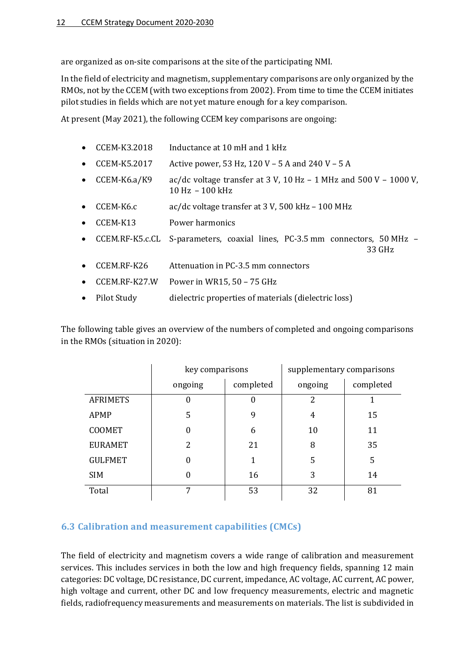are organized as on-site comparisons at the site of the participating NMI.

In the field of electricity and magnetism, supplementary comparisons are only organized by the RMOs, not by the CCEM (with two exceptions from 2002). From time to time the CCEM initiates pilot studies in fields which are not yet mature enough for a key comparison.

At present (May 2021), the following CCEM key comparisons are ongoing:

- CCEM-K3.2018 Inductance at 10 mH and 1 kHz
- CCEM-K5.2017 Active power, 53 Hz, 120 V 5 A and 240 V 5 A
- CCEM-K6.a/K9 ac/dc voltage transfer at 3 V, 10 Hz 1 MHz and 500 V 1000 V, 10 Hz – 100 kHz
- CCEM-K6.c ac/dc voltage transfer at 3 V, 500 kHz 100 MHz
- CCEM-K13 Power harmonics
- CCEM.RF-K5.c.CL S-parameters, coaxial lines, PC-3.5 mm connectors, 50 MHz 33 GHz
- CCEM.RF-K26 Attenuation in PC-3.5 mm connectors
- CCEM.RF-K27.W Power in WR15, 50 75 GHz
- Pilot Study dielectric properties of materials (dielectric loss)

The following table gives an overview of the numbers of completed and ongoing comparisons in the RMOs (situation in 2020):

|                 | key comparisons  |           | supplementary comparisons |           |
|-----------------|------------------|-----------|---------------------------|-----------|
|                 | ongoing          | completed | ongoing                   | completed |
| <b>AFRIMETS</b> | 0                | 0         | 2                         |           |
| APMP            | 5                | 9         | 4                         | 15        |
| <b>COOMET</b>   | $\boldsymbol{0}$ | 6         | 10                        | 11        |
| <b>EURAMET</b>  | 2                | 21        | 8                         | 35        |
| <b>GULFMET</b>  | $\boldsymbol{0}$ |           | 5                         | 5         |
| <b>SIM</b>      | $\overline{0}$   | 16        | 3                         | 14        |
| Total           | 7                | 53        | 32                        | 81        |

#### <span id="page-11-0"></span>**6.3 Calibration and measurement capabilities (CMCs)**

The field of electricity and magnetism covers a wide range of calibration and measurement services. This includes services in both the low and high frequency fields, spanning 12 main categories: DC voltage, DC resistance, DC current, impedance, AC voltage, AC current, AC power, high voltage and current, other DC and low frequency measurements, electric and magnetic fields, radiofrequency measurements and measurements on materials. The list is subdivided in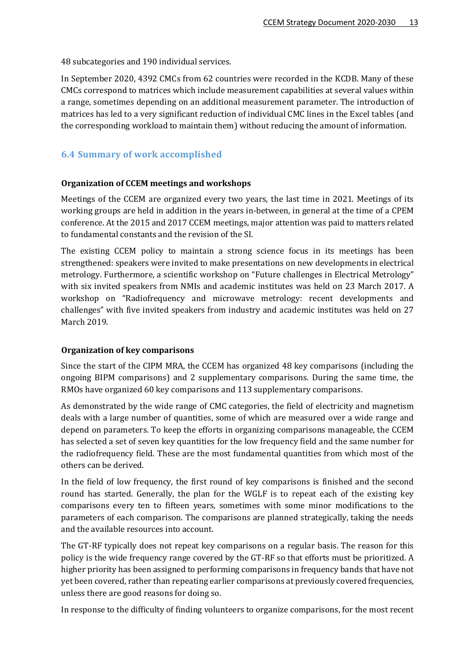48 subcategories and 190 individual services.

In September 2020, 4392 CMCs from 62 countries were recorded in the KCDB. Many of these CMCs correspond to matrices which include measurement capabilities at several values within a range, sometimes depending on an additional measurement parameter. The introduction of matrices has led to a very significant reduction of individual CMC lines in the Excel tables (and the corresponding workload to maintain them) without reducing the amount of information.

#### <span id="page-12-0"></span>**6.4 Summary of work accomplished**

#### **Organization of CCEM meetings and workshops**

Meetings of the CCEM are organized every two years, the last time in 2021. Meetings of its working groups are held in addition in the years in-between, in general at the time of a CPEM conference. At the 2015 and 2017 CCEM meetings, major attention was paid to matters related to fundamental constants and the revision of the SI.

The existing CCEM policy to maintain a strong science focus in its meetings has been strengthened: speakers were invited to make presentations on new developments in electrical metrology. Furthermore, a scientific workshop on "Future challenges in Electrical Metrology" with six invited speakers from NMIs and academic institutes was held on 23 March 2017. A workshop on "Radiofrequency and microwave metrology: recent developments and challenges" with five invited speakers from industry and academic institutes was held on 27 March 2019.

#### **Organization of key comparisons**

Since the start of the CIPM MRA, the CCEM has organized 48 key comparisons (including the ongoing BIPM comparisons) and 2 supplementary comparisons. During the same time, the RMOs have organized 60 key comparisons and 113 supplementary comparisons.

As demonstrated by the wide range of CMC categories, the field of electricity and magnetism deals with a large number of quantities, some of which are measured over a wide range and depend on parameters. To keep the efforts in organizing comparisons manageable, the CCEM has selected a set of seven key quantities for the low frequency field and the same number for the radiofrequency field. These are the most fundamental quantities from which most of the others can be derived.

In the field of low frequency, the first round of key comparisons is finished and the second round has started. Generally, the plan for the WGLF is to repeat each of the existing key comparisons every ten to fifteen years, sometimes with some minor modifications to the parameters of each comparison. The comparisons are planned strategically, taking the needs and the available resources into account.

The GT-RF typically does not repeat key comparisons on a regular basis. The reason for this policy is the wide frequency range covered by the GT-RF so that efforts must be prioritized. A higher priority has been assigned to performing comparisons in frequency bands that have not yet been covered, rather than repeating earlier comparisons at previously covered frequencies, unless there are good reasons for doing so.

In response to the difficulty of finding volunteers to organize comparisons, for the most recent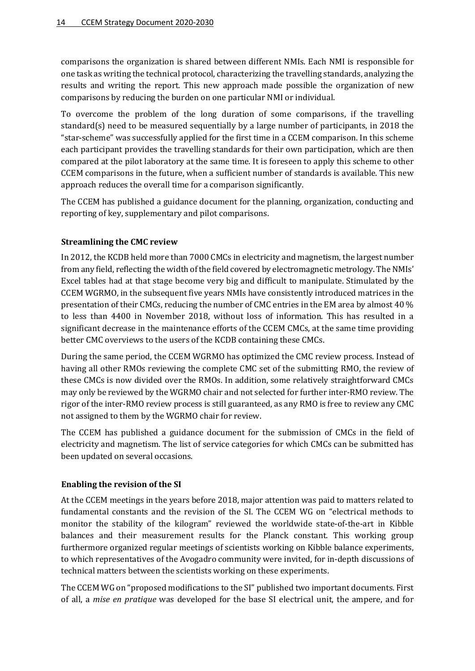comparisons the organization is shared between different NMIs. Each NMI is responsible for one task as writing the technical protocol, characterizing the travelling standards, analyzing the results and writing the report. This new approach made possible the organization of new comparisons by reducing the burden on one particular NMI or individual.

To overcome the problem of the long duration of some comparisons, if the travelling standard(s) need to be measured sequentially by a large number of participants, in 2018 the "star-scheme" was successfully applied for the first time in a CCEM comparison. In this scheme each participant provides the travelling standards for their own participation, which are then compared at the pilot laboratory at the same time. It is foreseen to apply this scheme to other CCEM comparisons in the future, when a sufficient number of standards is available. This new approach reduces the overall time for a comparison significantly.

The CCEM has published a guidance document for the planning, organization, conducting and reporting of key, supplementary and pilot comparisons.

#### **Streamlining the CMC review**

In 2012, the KCDB held more than 7000 CMCs in electricity and magnetism, the largest number from any field, reflecting the width of the field covered by electromagnetic metrology. The NMIs' Excel tables had at that stage become very big and difficult to manipulate. Stimulated by the CCEM WGRMO, in the subsequent five years NMIs have consistently introduced matrices in the presentation of their CMCs, reducing th[e number of CMC entries in the EM area](https://www.bipm.org/utils/common/pdf/KCDB/KCDB_CMCs.pdf) by almost 40 % to less than 4400 in November 2018, without loss of information. This has resulted in a significant decrease in the maintenance efforts of the CCEM CMCs, at the same time providing better CMC overviews to the users of the [KCDB](https://kcdb.bipm.org/AppendixC/default.asp) containing these CMCs.

During the same period, the CCEM WGRMO has optimized the CMC review process. Instead of having all other RMOs reviewing the complete CMC set of the submitting RMO, the review of these CMCs is now divided over the RMOs. In addition, some relatively straightforward CMCs may only be reviewed by the WGRMO chair and not selected for further inter-RMO review. The rigor of the inter-RMO review process is still guaranteed, as any RMO is free to review any CMC not assigned to them by the WGRMO chair for review.

The CCEM has published a guidance document for the submission of CMCs in the field of electricity and magnetism. The list of service categories for which CMCs can be submitted has been updated on several occasions.

#### **Enabling the revision of the SI**

At the CCEM meetings in the years before 2018, major attention was paid to matters related to fundamental constants and the revision of the SI. The CCEM WG on "electrical methods to monitor the stability of the kilogram" reviewed the worldwide state-of-the-art in Kibble balances and their measurement results for the Planck constant. This working group furthermore organized regular meetings of scientists working on Kibble balance experiments, to which representatives of the Avogadro community were invited, for in-depth discussions of technical matters between the scientists working on these experiments.

The CCEM WG on "proposed modifications to the SI" published two important documents. First of all, a *[mise en pratique](https://www.bipm.org/utils/en/pdf/si-mep/MeP-a-2018.pdf)* was developed for the base SI electrical unit, the ampere, and for